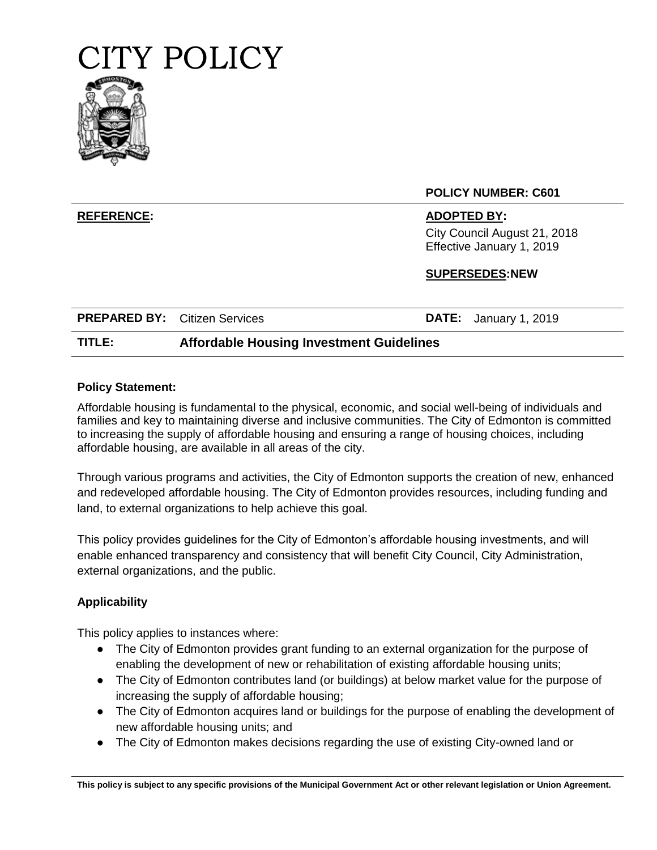

## **POLICY NUMBER: C601**

## **REFERENCE: ADOPTED BY:**

City Council August 21, 2018 Effective January 1, 2019

# **SUPERSEDES:NEW**

| <b>PREPARED BY:</b> Citizen Services |                                                 | <b>DATE:</b> January 1, 2019 |
|--------------------------------------|-------------------------------------------------|------------------------------|
| TITLE:                               | <b>Affordable Housing Investment Guidelines</b> |                              |

## **Policy Statement:**

Affordable housing is fundamental to the physical, economic, and social well-being of individuals and families and key to maintaining diverse and inclusive communities. The City of Edmonton is committed to increasing the supply of affordable housing and ensuring a range of housing choices, including affordable housing, are available in all areas of the city.

Through various programs and activities, the City of Edmonton supports the creation of new, enhanced and redeveloped affordable housing. The City of Edmonton provides resources, including funding and land, to external organizations to help achieve this goal.

This policy provides guidelines for the City of Edmonton's affordable housing investments, and will enable enhanced transparency and consistency that will benefit City Council, City Administration, external organizations, and the public.

# **Applicability**

This policy applies to instances where:

- The City of Edmonton provides grant funding to an external organization for the purpose of enabling the development of new or rehabilitation of existing affordable housing units;
- The City of Edmonton contributes land (or buildings) at below market value for the purpose of increasing the supply of affordable housing;
- The City of Edmonton acquires land or buildings for the purpose of enabling the development of new affordable housing units; and
- The City of Edmonton makes decisions regarding the use of existing City-owned land or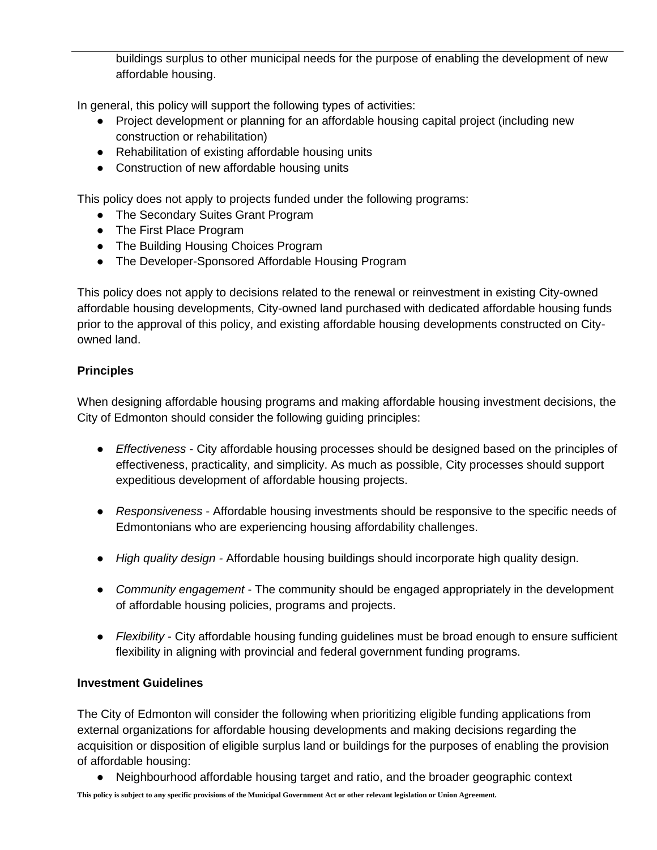buildings surplus to other municipal needs for the purpose of enabling the development of new affordable housing.

In general, this policy will support the following types of activities:

- Project development or planning for an affordable housing capital project (including new construction or rehabilitation)
- Rehabilitation of existing affordable housing units
- Construction of new affordable housing units

This policy does not apply to projects funded under the following programs:

- The Secondary Suites Grant Program
- The First Place Program
- The Building Housing Choices Program
- The Developer-Sponsored Affordable Housing Program

This policy does not apply to decisions related to the renewal or reinvestment in existing City-owned affordable housing developments, City-owned land purchased with dedicated affordable housing funds prior to the approval of this policy, and existing affordable housing developments constructed on Cityowned land.

# **Principles**

When designing affordable housing programs and making affordable housing investment decisions, the City of Edmonton should consider the following guiding principles:

- *Effectiveness* City affordable housing processes should be designed based on the principles of effectiveness, practicality, and simplicity. As much as possible, City processes should support expeditious development of affordable housing projects.
- *Responsiveness* Affordable housing investments should be responsive to the specific needs of Edmontonians who are experiencing housing affordability challenges.
- *High quality design -* Affordable housing buildings should incorporate high quality design.
- *Community engagement* The community should be engaged appropriately in the development of affordable housing policies, programs and projects.
- *Flexibility* City affordable housing funding guidelines must be broad enough to ensure sufficient flexibility in aligning with provincial and federal government funding programs.

# **Investment Guidelines**

The City of Edmonton will consider the following when prioritizing eligible funding applications from external organizations for affordable housing developments and making decisions regarding the acquisition or disposition of eligible surplus land or buildings for the purposes of enabling the provision of affordable housing:

● Neighbourhood affordable housing target and ratio, and the broader geographic context